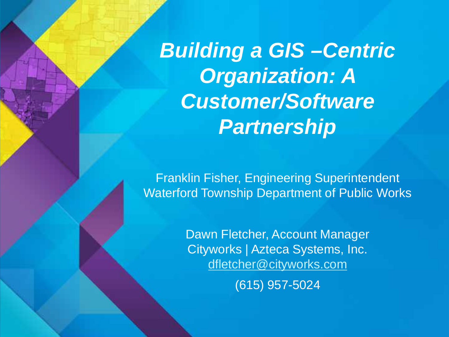*Building a GIS –Centric Organization: A Customer/Software Partnership*

Franklin Fisher, Engineering Superintendent Waterford Township Department of Public Works

> Dawn Fletcher, Account Manager Cityworks | Azteca Systems, Inc. [dfletcher@cityworks.com](mailto:dfletcher@cityworks.com) (615) 957-5024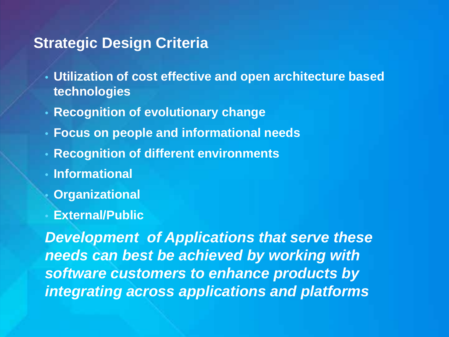#### **Strategic Design Criteria**

- **Utilization of cost effective and open architecture based technologies**
- **Recognition of evolutionary change**
- **Focus on people and informational needs**
- **Recognition of different environments**
- **Informational**
- **Organizational**
- **External/Public**

*Development of Applications that serve these needs can best be achieved by working with software customers to enhance products by integrating across applications and platforms*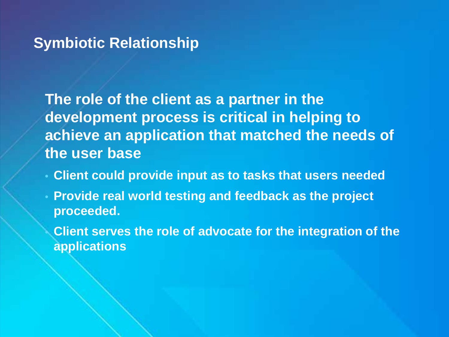#### **Symbiotic Relationship**

**The role of the client as a partner in the development process is critical in helping to achieve an application that matched the needs of the user base**

- **Client could provide input as to tasks that users needed**
- **Provide real world testing and feedback as the project proceeded.**
	- **Client serves the role of advocate for the integration of the applications**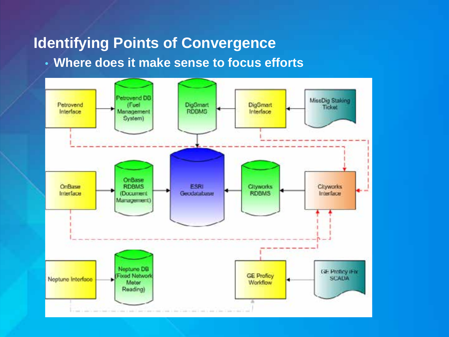## **Identifying Points of Convergence**

• **Where does it make sense to focus efforts**

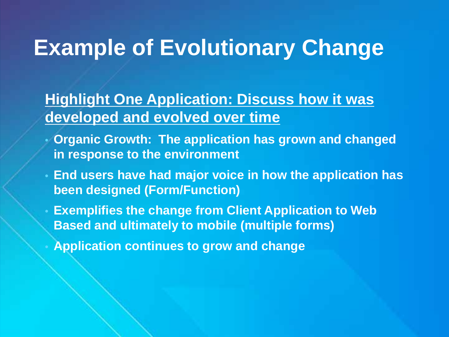# **Example of Evolutionary Change**

## **Highlight One Application: Discuss how it was developed and evolved over time**

- **Organic Growth: The application has grown and changed in response to the environment**
- **End users have had major voice in how the application has been designed (Form/Function)**
	- **Exemplifies the change from Client Application to Web Based and ultimately to mobile (multiple forms)**
	- **Application continues to grow and change**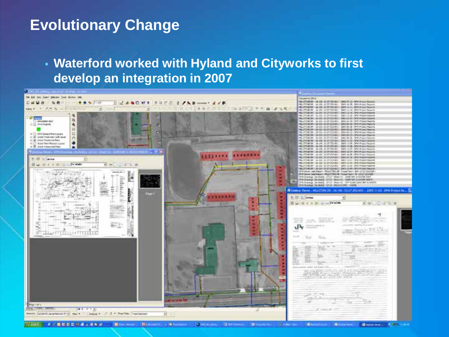#### **Evolutionary Change**

• **Waterford worked with Hyland and Cityworks to first develop an integration in 2007**



教授日本社会主催を含 **Blue D Chinese CONSIDER Contract Contract**  $\mathbf{a}$ **China B 1900**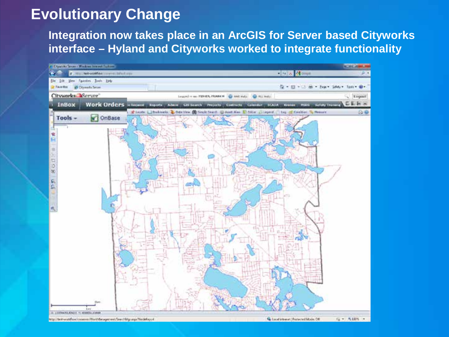## **Evolutionary Change**

**Integration now takes place in an ArcGIS for Server based Cityworks interface – Hyland and Cityworks worked to integrate functionality**

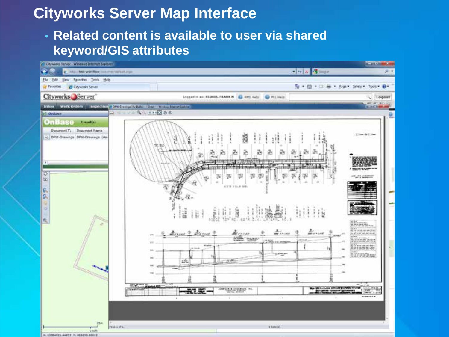## **Cityworks Server Map Interface**

#### • **Related content is available to user via shared keyword/GIS attributes**

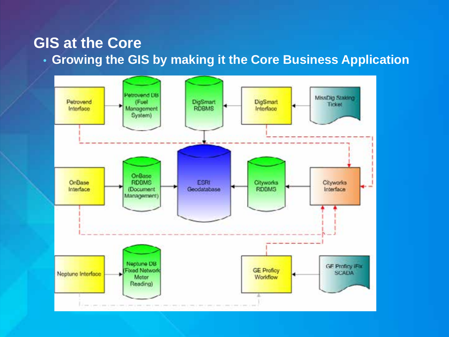#### **GIS at the Core**

• **Growing the GIS by making it the Core Business Application**

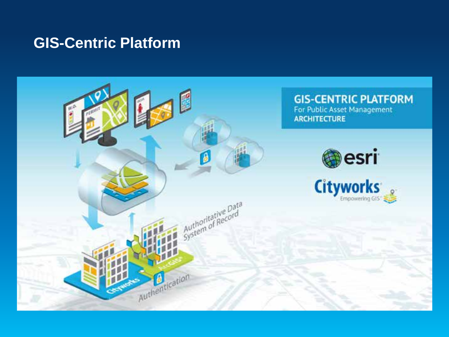#### **GIS-Centric Platform**

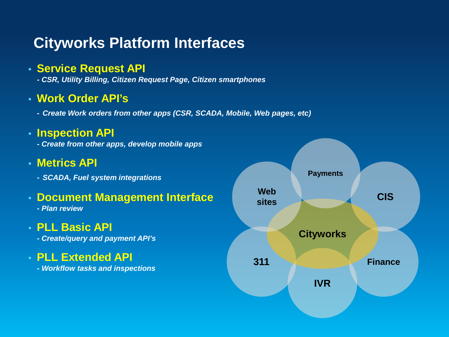### **Cityworks Platform Interfaces**

#### • **Service Request API**

*- CSR, Utility Billing, Citizen Request Page, Citizen smartphones*

#### • **Work Order API's**

*- Create Work orders from other apps (CSR, SCADA, Mobile, Web pages, etc)*

#### • **Inspection API**

- *- Create from other apps, develop mobile apps*
- **Metrics API**
	- *- SCADA, Fuel system integrations*

#### • **Document Management Interface**

*- Plan review*

#### • **PLL Basic API**

- *- Create/query and payment API's*
- **PLL Extended API**
	- *- Workflow tasks and inspections*

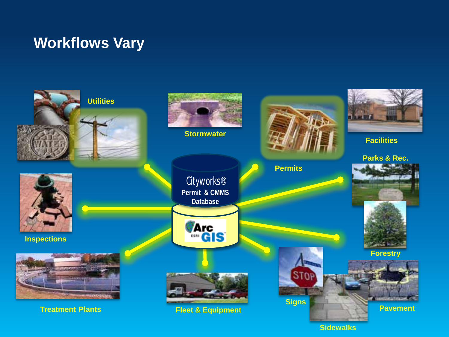## **Workflows Vary**

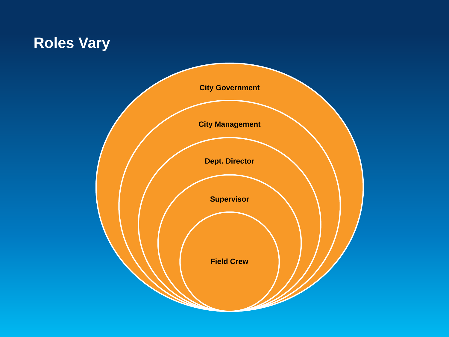## **Roles Vary**